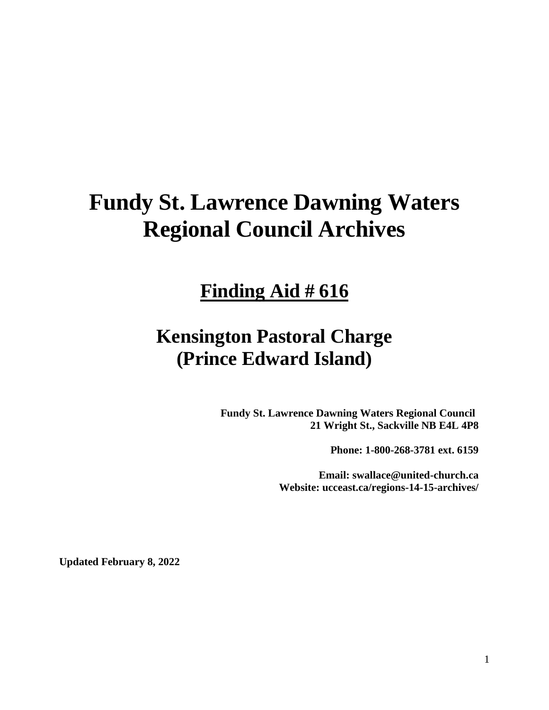# **Fundy St. Lawrence Dawning Waters Regional Council Archives**

# **Finding Aid # 616**

# **Kensington Pastoral Charge (Prince Edward Island)**

**Fundy St. Lawrence Dawning Waters Regional Council 21 Wright St., Sackville NB E4L 4P8**

**Phone: 1-800-268-3781 ext. 6159**

**Email: swallace@united-church.ca Website: ucceast.ca/regions-14-15-archives/**

**Updated February 8, 2022**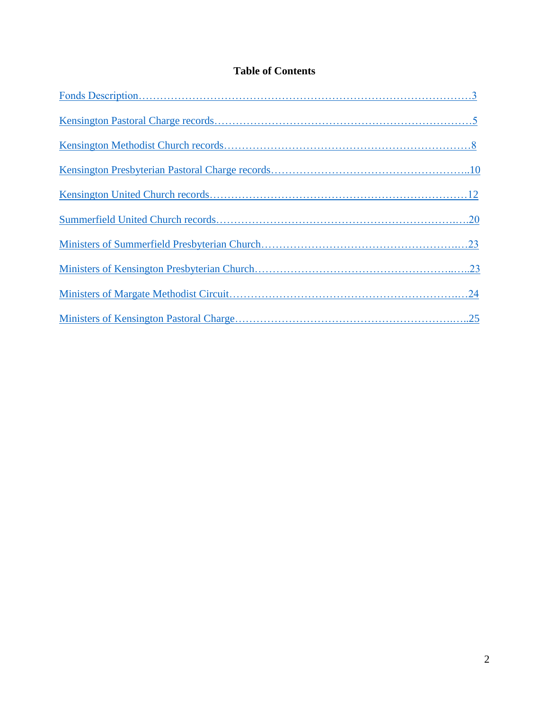# **Table of Contents**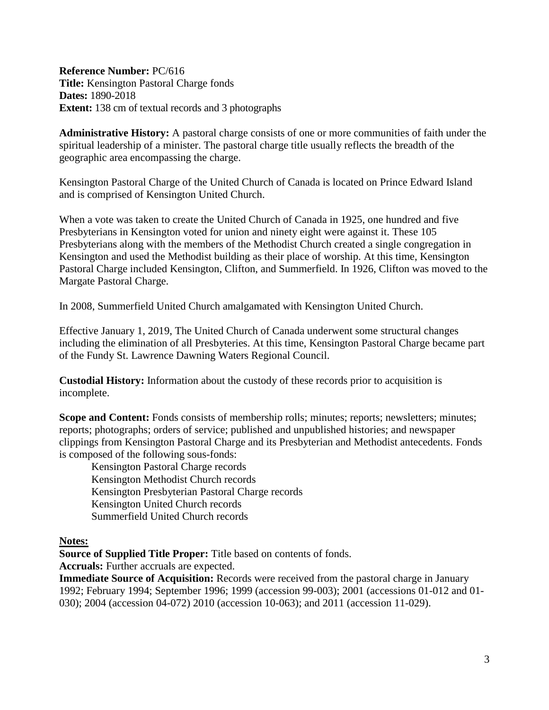<span id="page-2-0"></span>**Reference Number:** PC/616 **Title:** Kensington Pastoral Charge fonds **Dates:** 1890-2018 **Extent:** 138 cm of textual records and 3 photographs

**Administrative History:** A pastoral charge consists of one or more communities of faith under the spiritual leadership of a minister. The pastoral charge title usually reflects the breadth of the geographic area encompassing the charge.

Kensington Pastoral Charge of the United Church of Canada is located on Prince Edward Island and is comprised of Kensington United Church.

When a vote was taken to create the United Church of Canada in 1925, one hundred and five Presbyterians in Kensington voted for union and ninety eight were against it. These 105 Presbyterians along with the members of the Methodist Church created a single congregation in Kensington and used the Methodist building as their place of worship. At this time, Kensington Pastoral Charge included Kensington, Clifton, and Summerfield. In 1926, Clifton was moved to the Margate Pastoral Charge.

In 2008, Summerfield United Church amalgamated with Kensington United Church.

Effective January 1, 2019, The United Church of Canada underwent some structural changes including the elimination of all Presbyteries. At this time, Kensington Pastoral Charge became part of the Fundy St. Lawrence Dawning Waters Regional Council.

**Custodial History:** Information about the custody of these records prior to acquisition is incomplete.

**Scope and Content:** Fonds consists of membership rolls; minutes; reports; newsletters; minutes; reports; photographs; orders of service; published and unpublished histories; and newspaper clippings from Kensington Pastoral Charge and its Presbyterian and Methodist antecedents. Fonds is composed of the following sous-fonds:

Kensington Pastoral Charge records Kensington Methodist Church records Kensington Presbyterian Pastoral Charge records Kensington United Church records Summerfield United Church records

**Notes:**

**Source of Supplied Title Proper:** Title based on contents of fonds.

**Accruals:** Further accruals are expected.

**Immediate Source of Acquisition:** Records were received from the pastoral charge in January 1992; February 1994; September 1996; 1999 (accession 99-003); 2001 (accessions 01-012 and 01- 030); 2004 (accession 04-072) 2010 (accession 10-063); and 2011 (accession 11-029).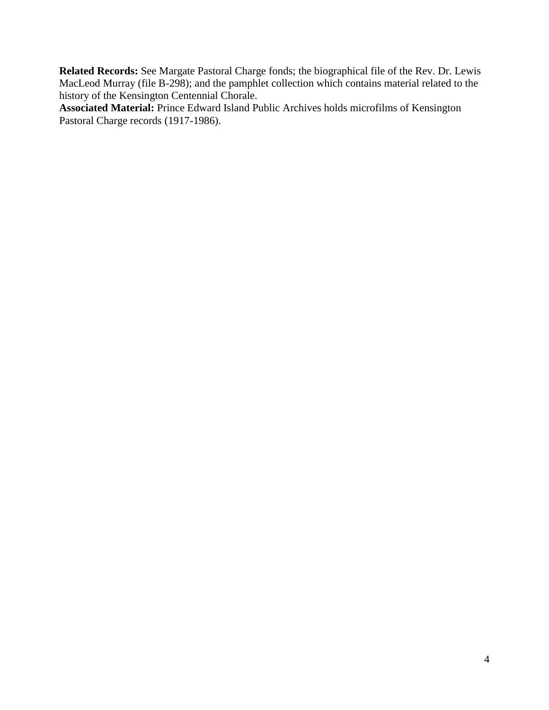**Related Records:** See Margate Pastoral Charge fonds; the biographical file of the Rev. Dr. Lewis MacLeod Murray (file B-298); and the pamphlet collection which contains material related to the history of the Kensington Centennial Chorale.

**Associated Material:** Prince Edward Island Public Archives holds microfilms of Kensington Pastoral Charge records (1917-1986).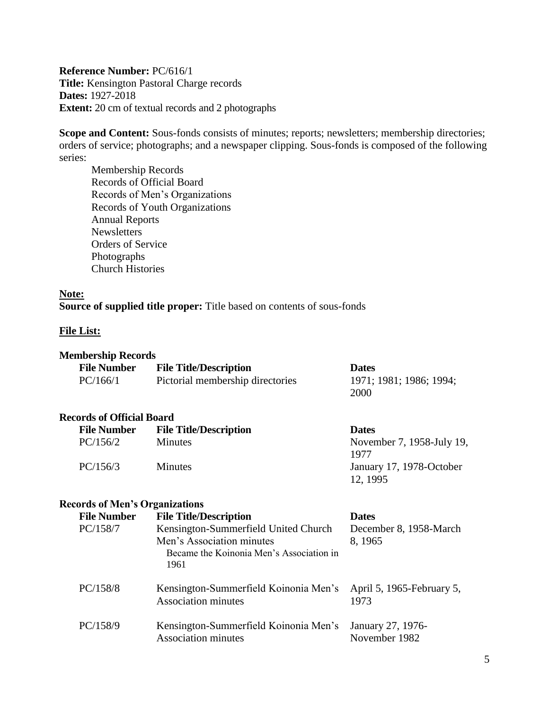<span id="page-4-0"></span>**Reference Number:** PC/616/1 **Title:** Kensington Pastoral Charge records **Dates:** 1927-2018 **Extent:** 20 cm of textual records and 2 photographs

**Scope and Content:** Sous-fonds consists of minutes; reports; newsletters; membership directories; orders of service; photographs; and a newspaper clipping. Sous-fonds is composed of the following series:

Membership Records Records of Official Board Records of Men's Organizations Records of Youth Organizations Annual Reports **Newsletters** Orders of Service Photographs Church Histories

#### **Note:**

### **Source of supplied title proper:** Title based on contents of sous-fonds

#### **File List:**

#### **Membership Records**

| .<br><b>File Number</b> | <b>File Title/Description</b>    | <b>Dates</b>            |
|-------------------------|----------------------------------|-------------------------|
| PC/166/1                | Pictorial membership directories | 1971; 1981; 1986; 1994; |
|                         |                                  | 2000                    |

#### **Records of Official Board**

| <b>File Title/Description</b> | <b>Dates</b>              |  |
|-------------------------------|---------------------------|--|
| <b>Minutes</b>                | November 7, 1958-July 19, |  |
|                               | 1977                      |  |
| <b>Minutes</b>                | January 17, 1978-October  |  |
|                               | 12, 1995                  |  |
|                               |                           |  |

#### **Records of Men's Organizations**

| <b>File Number</b> | <b>File Title/Description</b>                                                                                         | <b>Dates</b>                       |
|--------------------|-----------------------------------------------------------------------------------------------------------------------|------------------------------------|
| PC/158/7           | Kensington-Summerfield United Church<br>Men's Association minutes<br>Became the Koinonia Men's Association in<br>1961 | December 8, 1958-March<br>8, 1965  |
| PC/158/8           | Kensington-Summerfield Koinonia Men's<br><b>Association minutes</b>                                                   | April 5, 1965-February 5,<br>1973  |
| PC/158/9           | Kensington-Summerfield Koinonia Men's<br><b>Association minutes</b>                                                   | January 27, 1976-<br>November 1982 |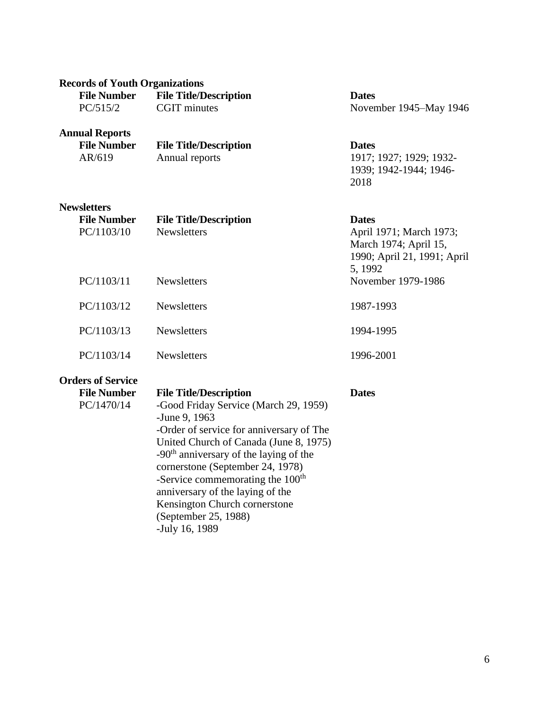| <b>Records of Youth Organizations</b> |                                          |                               |  |  |
|---------------------------------------|------------------------------------------|-------------------------------|--|--|
| <b>File Number</b>                    | <b>File Title/Description</b>            | <b>Dates</b>                  |  |  |
| PC/515/2                              | <b>CGIT</b> minutes                      | November 1945–May 1946        |  |  |
| <b>Annual Reports</b>                 |                                          |                               |  |  |
| <b>File Number</b>                    | <b>File Title/Description</b>            | <b>Dates</b>                  |  |  |
| AR/619                                | Annual reports                           | 1917; 1927; 1929; 1932-       |  |  |
|                                       |                                          | 1939; 1942-1944; 1946-        |  |  |
|                                       |                                          | 2018                          |  |  |
| <b>Newsletters</b>                    |                                          |                               |  |  |
| <b>File Number</b>                    | <b>File Title/Description</b>            | <b>Dates</b>                  |  |  |
| PC/1103/10                            | <b>Newsletters</b>                       | April 1971; March 1973;       |  |  |
|                                       |                                          | March 1974; April 15,         |  |  |
|                                       |                                          | 1990; April 21, 1991; April   |  |  |
|                                       | <b>Newsletters</b>                       | 5, 1992<br>November 1979-1986 |  |  |
| PC/1103/11                            |                                          |                               |  |  |
| PC/1103/12                            | <b>Newsletters</b>                       | 1987-1993                     |  |  |
| PC/1103/13                            | <b>Newsletters</b>                       | 1994-1995                     |  |  |
|                                       |                                          |                               |  |  |
| PC/1103/14                            | <b>Newsletters</b>                       | 1996-2001                     |  |  |
| <b>Orders of Service</b>              |                                          |                               |  |  |
| <b>File Number</b>                    | <b>File Title/Description</b>            | <b>Dates</b>                  |  |  |
| PC/1470/14                            | -Good Friday Service (March 29, 1959)    |                               |  |  |
|                                       | -June 9, 1963                            |                               |  |  |
|                                       | -Order of service for anniversary of The |                               |  |  |

United Church of Canada (June 8, 1975) -90th anniversary of the laying of the cornerstone (September 24, 1978) -Service commemorating the 100<sup>th</sup> anniversary of the laying of the Kensington Church cornerstone

(September 25, 1988)

-July 16, 1989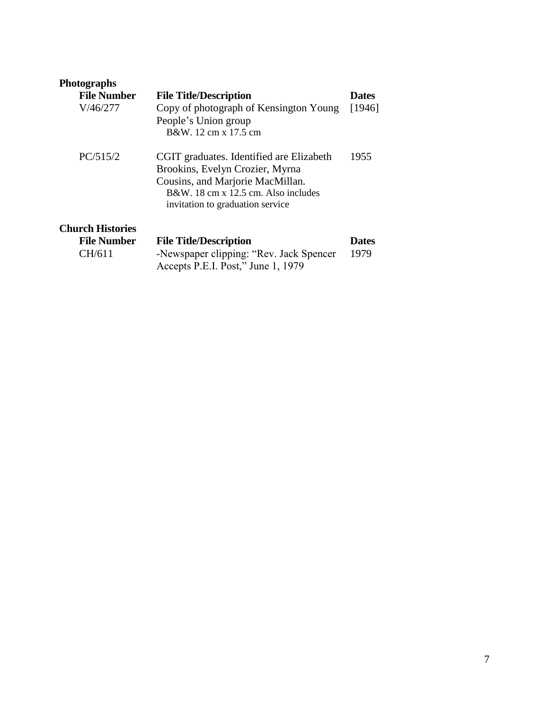| <b>Photographs</b>      |                                          |              |
|-------------------------|------------------------------------------|--------------|
| <b>File Number</b>      | <b>File Title/Description</b>            | <b>Dates</b> |
| V/46/277                | Copy of photograph of Kensington Young   | [1946]       |
|                         | People's Union group                     |              |
|                         | B&W. 12 cm x 17.5 cm                     |              |
| PC/515/2                | CGIT graduates. Identified are Elizabeth | 1955         |
|                         | Brookins, Evelyn Crozier, Myrna          |              |
|                         | Cousins, and Marjorie MacMillan.         |              |
|                         | B&W, 18 cm x 12.5 cm. Also includes      |              |
|                         | invitation to graduation service         |              |
| <b>Church Histories</b> |                                          |              |
| <b>File Number</b>      | <b>File Title/Description</b>            | <b>Dates</b> |
| CH/611                  | -Newspaper clipping: "Rev. Jack Spencer" | 1979         |

Accepts P.E.I. Post," June 1, 1979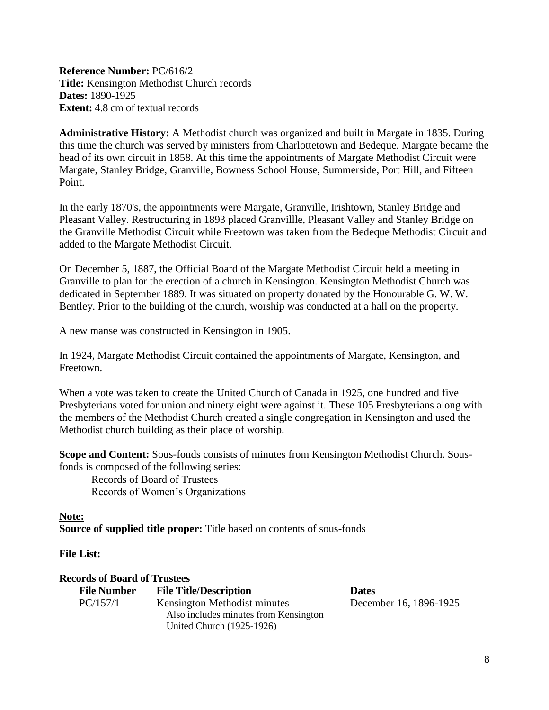<span id="page-7-0"></span>**Reference Number:** PC/616/2 **Title:** Kensington Methodist Church records **Dates:** 1890-1925 **Extent:** 4.8 cm of textual records

**Administrative History:** A Methodist church was organized and built in Margate in 1835. During this time the church was served by ministers from Charlottetown and Bedeque. Margate became the head of its own circuit in 1858. At this time the appointments of Margate Methodist Circuit were Margate, Stanley Bridge, Granville, Bowness School House, Summerside, Port Hill, and Fifteen Point.

In the early 1870's, the appointments were Margate, Granville, Irishtown, Stanley Bridge and Pleasant Valley. Restructuring in 1893 placed Granvillle, Pleasant Valley and Stanley Bridge on the Granville Methodist Circuit while Freetown was taken from the Bedeque Methodist Circuit and added to the Margate Methodist Circuit.

On December 5, 1887, the Official Board of the Margate Methodist Circuit held a meeting in Granville to plan for the erection of a church in Kensington. Kensington Methodist Church was dedicated in September 1889. It was situated on property donated by the Honourable G. W. W. Bentley. Prior to the building of the church, worship was conducted at a hall on the property.

A new manse was constructed in Kensington in 1905.

In 1924, Margate Methodist Circuit contained the appointments of Margate, Kensington, and Freetown.

When a vote was taken to create the United Church of Canada in 1925, one hundred and five Presbyterians voted for union and ninety eight were against it. These 105 Presbyterians along with the members of the Methodist Church created a single congregation in Kensington and used the Methodist church building as their place of worship.

**Scope and Content:** Sous-fonds consists of minutes from Kensington Methodist Church. Sousfonds is composed of the following series:

Records of Board of Trustees Records of Women's Organizations

**Note: Source of supplied title proper:** Title based on contents of sous-fonds

#### **File List:**

| <b>Records of Board of Trustees</b> |                                       |                        |
|-------------------------------------|---------------------------------------|------------------------|
| <b>File Number</b>                  | <b>File Title/Description</b>         | <b>Dates</b>           |
| PC/157/1                            | Kensington Methodist minutes          | December 16, 1896-1925 |
|                                     | Also includes minutes from Kensington |                        |
|                                     | United Church (1925-1926)             |                        |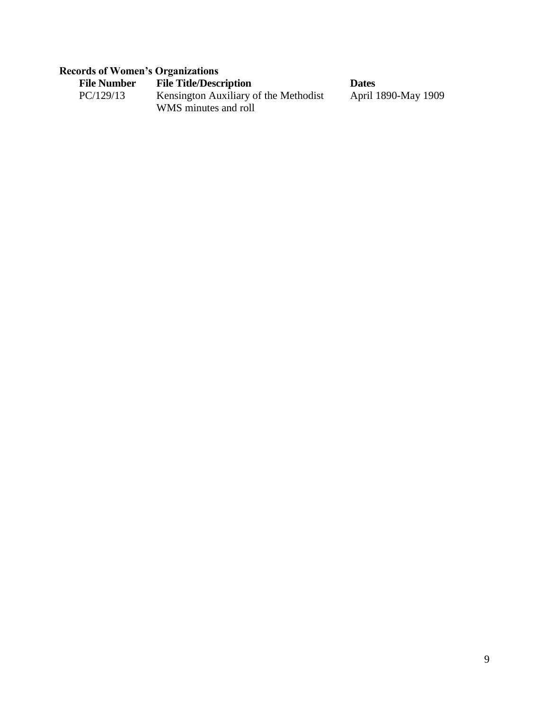# **Records of Women's Organizations**

| <b>File Number</b> | <b>File Title/Description</b>         | <b>Dates</b> |
|--------------------|---------------------------------------|--------------|
| PC/129/13          | Kensington Auxiliary of the Methodist | April        |
|                    | WMS minutes and roll                  |              |

ril 1890-May 1909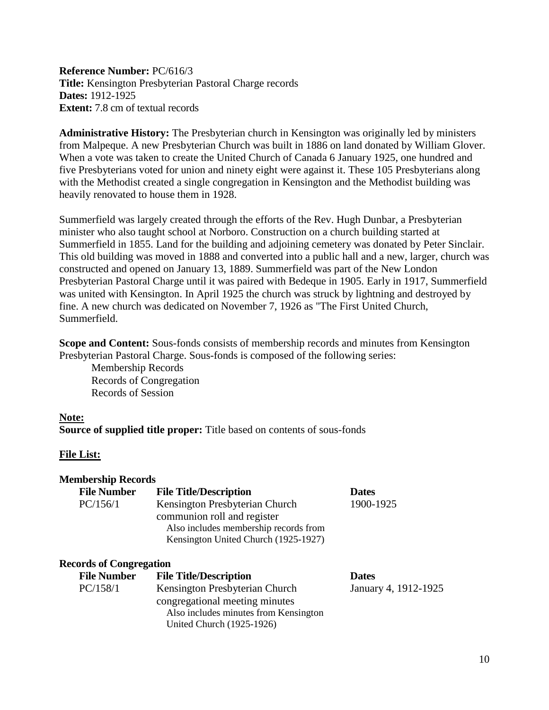<span id="page-9-0"></span>**Reference Number:** PC/616/3 **Title:** Kensington Presbyterian Pastoral Charge records **Dates:** 1912-1925 **Extent:** 7.8 cm of textual records

**Administrative History:** The Presbyterian church in Kensington was originally led by ministers from Malpeque. A new Presbyterian Church was built in 1886 on land donated by William Glover. When a vote was taken to create the United Church of Canada 6 January 1925, one hundred and five Presbyterians voted for union and ninety eight were against it. These 105 Presbyterians along with the Methodist created a single congregation in Kensington and the Methodist building was heavily renovated to house them in 1928.

Summerfield was largely created through the efforts of the Rev. Hugh Dunbar, a Presbyterian minister who also taught school at Norboro. Construction on a church building started at Summerfield in 1855. Land for the building and adjoining cemetery was donated by Peter Sinclair. This old building was moved in 1888 and converted into a public hall and a new, larger, church was constructed and opened on January 13, 1889. Summerfield was part of the New London Presbyterian Pastoral Charge until it was paired with Bedeque in 1905. Early in 1917, Summerfield was united with Kensington. In April 1925 the church was struck by lightning and destroyed by fine. A new church was dedicated on November 7, 1926 as "The First United Church, Summerfield.

**Scope and Content:** Sous-fonds consists of membership records and minutes from Kensington Presbyterian Pastoral Charge. Sous-fonds is composed of the following series:

Membership Records Records of Congregation Records of Session

#### **Note:**

**Source of supplied title proper:** Title based on contents of sous-fonds

#### **File List:**

| <b>Membership Records</b> |                                       |              |
|---------------------------|---------------------------------------|--------------|
| <b>File Number</b>        | <b>File Title/Description</b>         | <b>Dates</b> |
| PC/156/1                  | Kensington Presbyterian Church        | 1900-1925    |
|                           | communion roll and register           |              |
|                           | Also includes membership records from |              |
|                           | Kensington United Church (1925-1927)  |              |

#### **Records of Congregation**

| <b>File Number</b> | <b>File Title/Description</b>         | <b>Dates</b>         |
|--------------------|---------------------------------------|----------------------|
| PC/158/1           | Kensington Presbyterian Church        | January 4, 1912-1925 |
|                    | congregational meeting minutes        |                      |
|                    | Also includes minutes from Kensington |                      |
|                    | United Church (1925-1926)             |                      |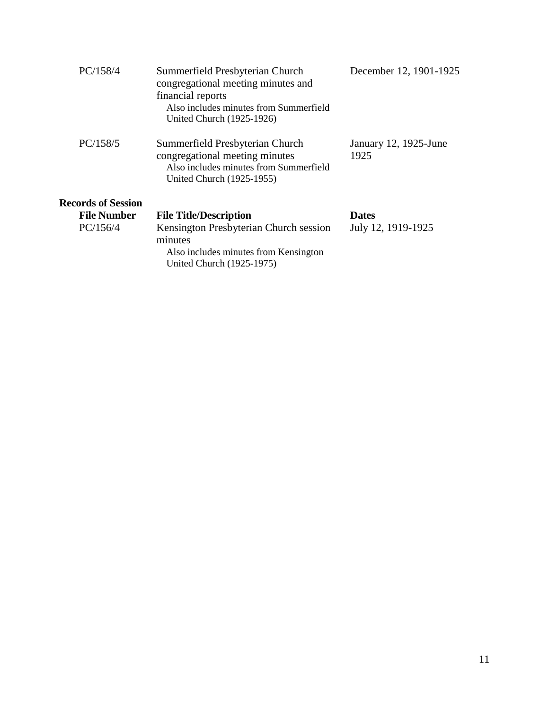| PC/158/4                  | Summerfield Presbyterian Church<br>congregational meeting minutes and<br>financial reports<br>Also includes minutes from Summerfield<br>United Church (1925-1926) | December 12, 1901-1925        |
|---------------------------|-------------------------------------------------------------------------------------------------------------------------------------------------------------------|-------------------------------|
| PC/158/5                  | Summerfield Presbyterian Church<br>congregational meeting minutes<br>Also includes minutes from Summerfield<br>United Church (1925-1955)                          | January 12, 1925-June<br>1925 |
| <b>Records of Session</b> |                                                                                                                                                                   |                               |
| <b>File Number</b>        | <b>File Title/Description</b>                                                                                                                                     | <b>Dates</b>                  |
| PC/156/4                  | Kensington Presbyterian Church session<br>minutes<br>Also includes minutes from Kensington<br>United Church (1925-1975)                                           | July 12, 1919-1925            |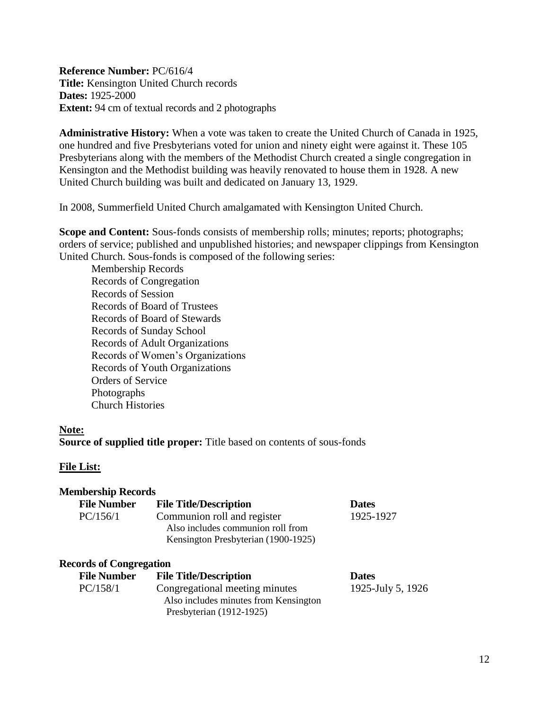<span id="page-11-0"></span>**Reference Number:** PC/616/4 **Title:** Kensington United Church records **Dates:** 1925-2000 **Extent:** 94 cm of textual records and 2 photographs

**Administrative History:** When a vote was taken to create the United Church of Canada in 1925, one hundred and five Presbyterians voted for union and ninety eight were against it. These 105 Presbyterians along with the members of the Methodist Church created a single congregation in Kensington and the Methodist building was heavily renovated to house them in 1928. A new United Church building was built and dedicated on January 13, 1929.

In 2008, Summerfield United Church amalgamated with Kensington United Church.

**Scope and Content:** Sous-fonds consists of membership rolls; minutes; reports; photographs; orders of service; published and unpublished histories; and newspaper clippings from Kensington United Church. Sous-fonds is composed of the following series:

Membership Records Records of Congregation Records of Session Records of Board of Trustees Records of Board of Stewards Records of Sunday School Records of Adult Organizations Records of Women's Organizations Records of Youth Organizations Orders of Service Photographs Church Histories

#### **Note:**

**Source of supplied title proper:** Title based on contents of sous-fonds

#### **File List:**

| <b>Membership Records</b>      |                                                                                                         |                   |
|--------------------------------|---------------------------------------------------------------------------------------------------------|-------------------|
| <b>File Number</b>             | <b>File Title/Description</b>                                                                           | <b>Dates</b>      |
| PC/156/1                       | Communion roll and register<br>Also includes communion roll from<br>Kensington Presbyterian (1900-1925) | 1925-1927         |
| <b>Records of Congregation</b> |                                                                                                         |                   |
| <b>File Number</b>             | <b>File Title/Description</b>                                                                           | <b>Dates</b>      |
| PC/158/1                       | Congregational meeting minutes<br>Also includes minutes from Kensington<br>Presbyterian (1912-1925)     | 1925-July 5, 1926 |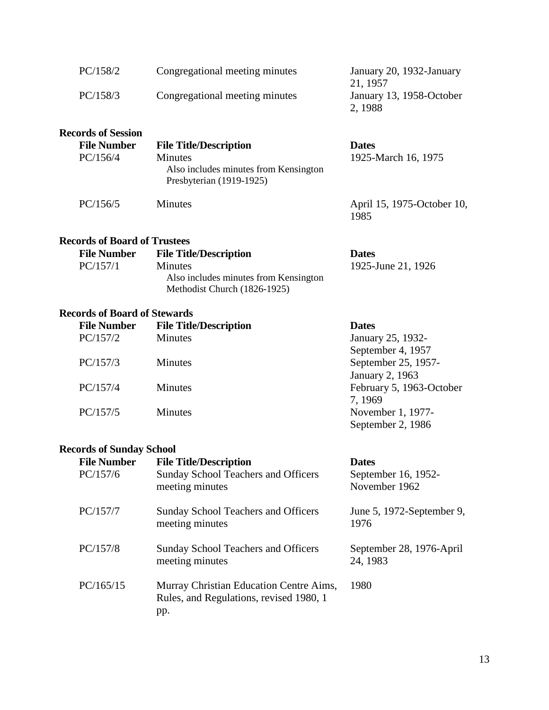| PC/158/2<br>PC/158/3                | Congregational meeting minutes<br>Congregational meeting minutes                    | January 20, 1932-January<br>21, 1957<br>January 13, 1958-October<br>2, 1988 |
|-------------------------------------|-------------------------------------------------------------------------------------|-----------------------------------------------------------------------------|
| <b>Records of Session</b>           |                                                                                     |                                                                             |
| <b>File Number</b>                  | <b>File Title/Description</b>                                                       | <b>Dates</b>                                                                |
| PC/156/4                            | <b>Minutes</b><br>Also includes minutes from Kensington<br>Presbyterian (1919-1925) | 1925-March 16, 1975                                                         |
| PC/156/5                            | <b>Minutes</b>                                                                      | April 15, 1975-October 10,<br>1985                                          |
| <b>Records of Board of Trustees</b> |                                                                                     |                                                                             |
| <b>File Number</b>                  | <b>File Title/Description</b>                                                       | <b>Dates</b>                                                                |
| PC/157/1                            | Minutes<br>Also includes minutes from Kensington<br>Methodist Church (1826-1925)    | 1925-June 21, 1926                                                          |

# **Records of Board of Stewards**

| <b>File Number</b> | <b>File Title/Description</b> | <b>Dates</b>             |
|--------------------|-------------------------------|--------------------------|
| PC/157/2           | <b>Minutes</b>                | January 25, 1932-        |
|                    |                               | September 4, 1957        |
| PC/157/3           | <b>Minutes</b>                | September 25, 1957-      |
|                    |                               | January 2, 1963          |
| PC/157/4           | <b>Minutes</b>                | February 5, 1963-October |
|                    |                               | 7, 1969                  |
| PC/157/5           | <b>Minutes</b>                | November 1, 1977-        |
|                    |                               | September 2, 1986        |

### **Records of Sunday School**

| <b>File Number</b><br>PC/157/6 | <b>File Title/Description</b><br><b>Sunday School Teachers and Officers</b><br>meeting minutes | <b>Dates</b><br>September 16, 1952-<br>November 1962 |
|--------------------------------|------------------------------------------------------------------------------------------------|------------------------------------------------------|
| PC/157/7                       | <b>Sunday School Teachers and Officers</b><br>meeting minutes                                  | June 5, 1972-September 9,<br>1976                    |
| PC/157/8                       | <b>Sunday School Teachers and Officers</b><br>meeting minutes                                  | September 28, 1976-April<br>24, 1983                 |
| PC/165/15                      | Murray Christian Education Centre Aims,<br>Rules, and Regulations, revised 1980, 1<br>pp.      | 1980                                                 |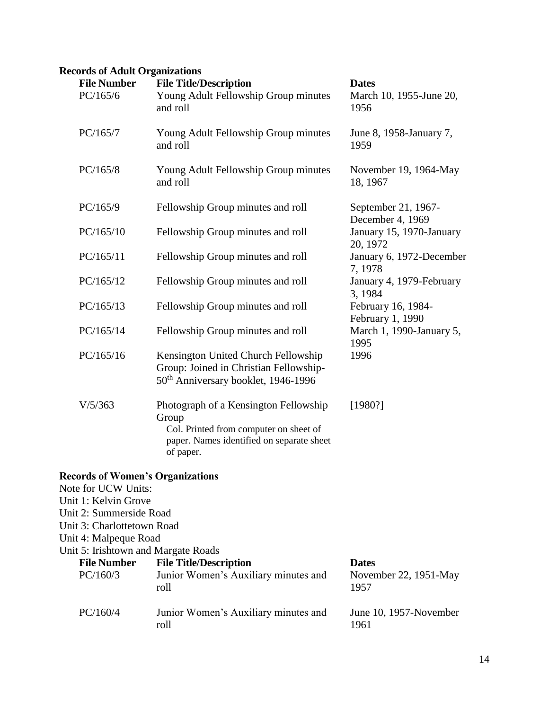# **Records of Adult Organizations**

| <b>File Number</b><br>PC/165/6                                                                                                                                           | <b>File Title/Description</b><br>Young Adult Fellowship Group minutes<br>and roll                                                                  | <b>Dates</b><br>March 10, 1955-June 20,<br>1956 |
|--------------------------------------------------------------------------------------------------------------------------------------------------------------------------|----------------------------------------------------------------------------------------------------------------------------------------------------|-------------------------------------------------|
| PC/165/7                                                                                                                                                                 | Young Adult Fellowship Group minutes<br>and roll                                                                                                   | June 8, 1958-January 7,<br>1959                 |
| PC/165/8                                                                                                                                                                 | Young Adult Fellowship Group minutes<br>and roll                                                                                                   | November 19, 1964-May<br>18, 1967               |
| PC/165/9                                                                                                                                                                 | Fellowship Group minutes and roll                                                                                                                  | September 21, 1967-<br>December 4, 1969         |
| PC/165/10                                                                                                                                                                | Fellowship Group minutes and roll                                                                                                                  | January 15, 1970-January<br>20, 1972            |
| PC/165/11                                                                                                                                                                | Fellowship Group minutes and roll                                                                                                                  | January 6, 1972-December<br>7,1978              |
| PC/165/12                                                                                                                                                                | Fellowship Group minutes and roll                                                                                                                  | January 4, 1979-February<br>3, 1984             |
| PC/165/13                                                                                                                                                                | Fellowship Group minutes and roll                                                                                                                  | February 16, 1984-<br>February 1, 1990          |
| PC/165/14                                                                                                                                                                | Fellowship Group minutes and roll                                                                                                                  | March 1, 1990-January 5,<br>1995                |
| PC/165/16                                                                                                                                                                | Kensington United Church Fellowship<br>Group: Joined in Christian Fellowship-<br>50 <sup>th</sup> Anniversary booklet, 1946-1996                   | 1996                                            |
| V/5/363                                                                                                                                                                  | Photograph of a Kensington Fellowship<br>Group<br>Col. Printed from computer on sheet of<br>paper. Names identified on separate sheet<br>of paper. | [1980?]                                         |
| <b>Records of Women's Organizations</b><br>Note for UCW Units:<br>Unit 1: Kelvin Grove<br>Unit 2: Summerside Road<br>Unit 3: Charlottetown Road<br>Unit 4: Malpeque Road |                                                                                                                                                    |                                                 |
| Unit 5: Irishtown and Margate Roads<br><b>File Number</b>                                                                                                                | <b>File Title/Description</b>                                                                                                                      | <b>Dates</b>                                    |
| PC/160/3                                                                                                                                                                 | Junior Women's Auxiliary minutes and<br>roll                                                                                                       | November 22, 1951-May<br>1957                   |
| PC/160/4                                                                                                                                                                 | Junior Women's Auxiliary minutes and<br>roll                                                                                                       | June 10, 1957-November<br>1961                  |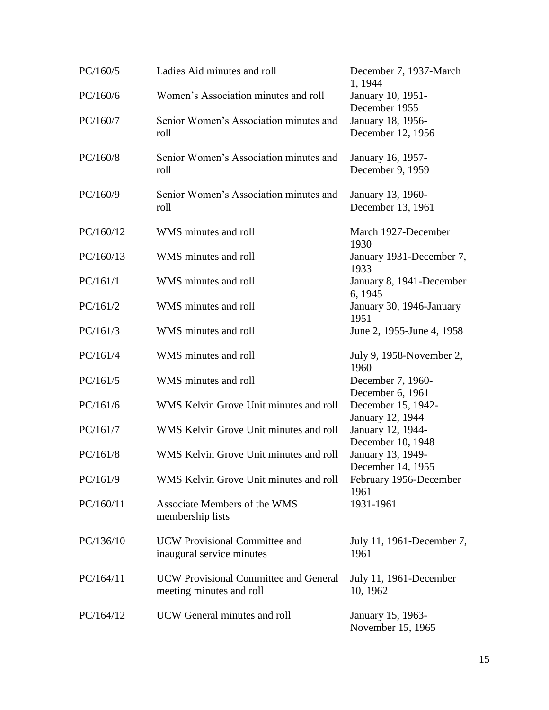| PC/160/5  | Ladies Aid minutes and roll                                              | December 7, 1937-March<br>1, 1944           |
|-----------|--------------------------------------------------------------------------|---------------------------------------------|
| PC/160/6  | Women's Association minutes and roll                                     | January 10, 1951-<br>December 1955          |
| PC/160/7  | Senior Women's Association minutes and<br>roll                           | January 18, 1956-<br>December 12, 1956      |
| PC/160/8  | Senior Women's Association minutes and<br>roll                           | January 16, 1957-<br>December 9, 1959       |
| PC/160/9  | Senior Women's Association minutes and<br>roll                           | January 13, 1960-<br>December 13, 1961      |
| PC/160/12 | WMS minutes and roll                                                     | March 1927-December<br>1930                 |
| PC/160/13 | WMS minutes and roll                                                     | January 1931-December 7,<br>1933            |
| PC/161/1  | WMS minutes and roll                                                     | January 8, 1941-December<br>6, 1945         |
| PC/161/2  | WMS minutes and roll                                                     | January 30, 1946-January<br>1951            |
| PC/161/3  | WMS minutes and roll                                                     | June 2, 1955-June 4, 1958                   |
| PC/161/4  | WMS minutes and roll                                                     | July 9, 1958-November 2,<br>1960            |
| PC/161/5  | WMS minutes and roll                                                     | December 7, 1960-<br>December 6, 1961       |
| PC/161/6  | WMS Kelvin Grove Unit minutes and roll                                   | December 15, 1942-<br>January 12, 1944      |
| PC/161/7  | WMS Kelvin Grove Unit minutes and roll                                   | January 12, 1944-                           |
| PC/161/8  | WMS Kelvin Grove Unit minutes and roll                                   | December 10, 1948<br>January 13, 1949-      |
| PC/161/9  | WMS Kelvin Grove Unit minutes and roll                                   | December 14, 1955<br>February 1956-December |
| PC/160/11 | Associate Members of the WMS<br>membership lists                         | 1961<br>1931-1961                           |
| PC/136/10 | <b>UCW</b> Provisional Committee and<br>inaugural service minutes        | July 11, 1961-December 7,<br>1961           |
| PC/164/11 | <b>UCW</b> Provisional Committee and General<br>meeting minutes and roll | July 11, 1961-December<br>10, 1962          |
| PC/164/12 | UCW General minutes and roll                                             | January 15, 1963-<br>November 15, 1965      |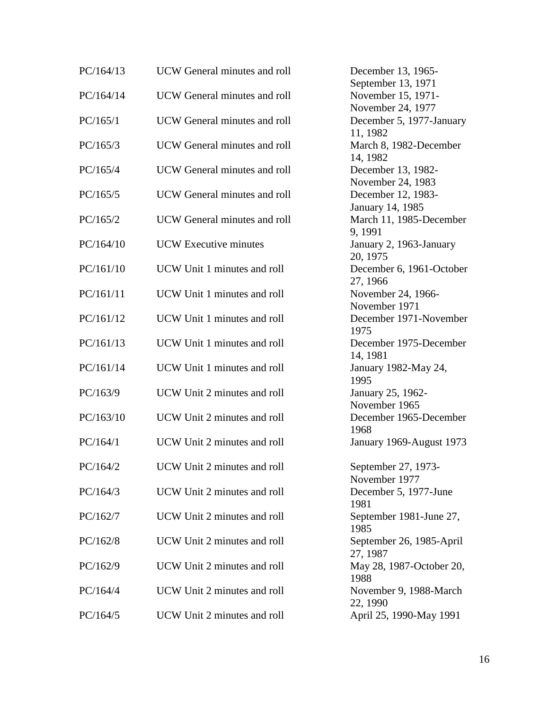| PC/164/13 | <b>UCW</b> General minutes and roll | December 13, 1965-                                            |
|-----------|-------------------------------------|---------------------------------------------------------------|
| PC/164/14 | <b>UCW</b> General minutes and roll | September 13, 1971<br>November 15, 1971-<br>November 24, 1977 |
| PC/165/1  | UCW General minutes and roll        | December 5, 1977-January<br>11, 1982                          |
| PC/165/3  | UCW General minutes and roll        | March 8, 1982-December<br>14, 1982                            |
| PC/165/4  | <b>UCW</b> General minutes and roll | December 13, 1982-<br>November 24, 1983                       |
| PC/165/5  | <b>UCW</b> General minutes and roll | December 12, 1983-<br>January 14, 1985                        |
| PC/165/2  | UCW General minutes and roll        | March 11, 1985-December<br>9, 1991                            |
| PC/164/10 | <b>UCW</b> Executive minutes        | January 2, 1963-January<br>20, 1975                           |
| PC/161/10 | UCW Unit 1 minutes and roll         | December 6, 1961-October<br>27, 1966                          |
| PC/161/11 | UCW Unit 1 minutes and roll         | November 24, 1966-<br>November 1971                           |
| PC/161/12 | UCW Unit 1 minutes and roll         | December 1971-November<br>1975                                |
| PC/161/13 | UCW Unit 1 minutes and roll         | December 1975-December<br>14, 1981                            |
| PC/161/14 | UCW Unit 1 minutes and roll         | January 1982-May 24,<br>1995                                  |
| PC/163/9  | UCW Unit 2 minutes and roll         | January 25, 1962-<br>November 1965                            |
| PC/163/10 | UCW Unit 2 minutes and roll         | December 1965-December<br>1968                                |
| PC/164/1  | UCW Unit 2 minutes and roll         | January 1969-August 1973                                      |
| PC/164/2  | UCW Unit 2 minutes and roll         | September 27, 1973-<br>November 1977                          |
| PC/164/3  | UCW Unit 2 minutes and roll         | December 5, 1977-June<br>1981                                 |
| PC/162/7  | UCW Unit 2 minutes and roll         | September 1981-June 27,<br>1985                               |
| PC/162/8  | UCW Unit 2 minutes and roll         | September 26, 1985-April<br>27, 1987                          |
| PC/162/9  | UCW Unit 2 minutes and roll         | May 28, 1987-October 20,<br>1988                              |
| PC/164/4  | UCW Unit 2 minutes and roll         | November 9, 1988-March<br>22, 1990                            |
| PC/164/5  | UCW Unit 2 minutes and roll         | April 25, 1990-May 1991                                       |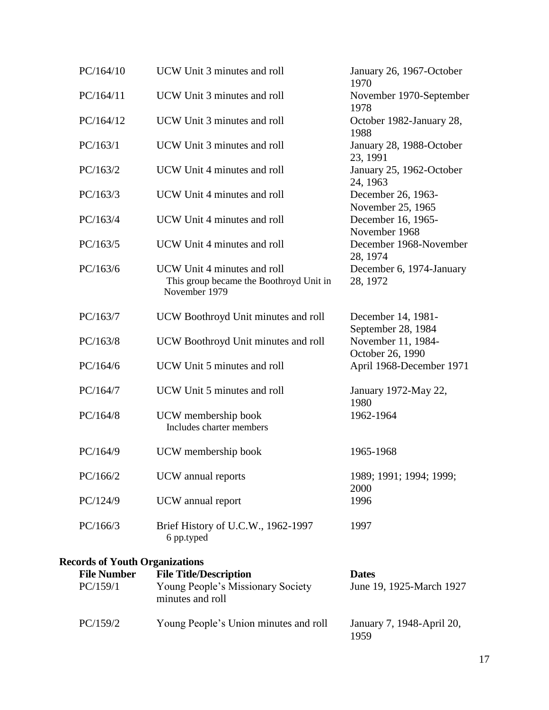| PC/164/10                             | UCW Unit 3 minutes and roll                                                             | January 26, 1967-October<br>1970         |
|---------------------------------------|-----------------------------------------------------------------------------------------|------------------------------------------|
| PC/164/11                             | UCW Unit 3 minutes and roll                                                             | November 1970-September<br>1978          |
| PC/164/12                             | UCW Unit 3 minutes and roll                                                             | October 1982-January 28,<br>1988         |
| PC/163/1                              | UCW Unit 3 minutes and roll                                                             | January 28, 1988-October<br>23, 1991     |
| PC/163/2                              | UCW Unit 4 minutes and roll                                                             | January 25, 1962-October<br>24, 1963     |
| PC/163/3                              | UCW Unit 4 minutes and roll                                                             | December 26, 1963-<br>November 25, 1965  |
| PC/163/4                              | UCW Unit 4 minutes and roll                                                             | December 16, 1965-<br>November 1968      |
| PC/163/5                              | UCW Unit 4 minutes and roll                                                             | December 1968-November<br>28, 1974       |
| PC/163/6                              | UCW Unit 4 minutes and roll<br>This group became the Boothroyd Unit in<br>November 1979 | December 6, 1974-January<br>28, 1972     |
| PC/163/7                              | UCW Boothroyd Unit minutes and roll                                                     | December 14, 1981-<br>September 28, 1984 |
| PC/163/8                              | UCW Boothroyd Unit minutes and roll                                                     | November 11, 1984-<br>October 26, 1990   |
| PC/164/6                              | UCW Unit 5 minutes and roll                                                             | April 1968-December 1971                 |
| PC/164/7                              | UCW Unit 5 minutes and roll                                                             | January 1972-May 22,<br>1980             |
| PC/164/8                              | UCW membership book<br>Includes charter members                                         | 1962-1964                                |
| PC/164/9                              | UCW membership book                                                                     | 1965-1968                                |
| PC/166/2                              | UCW annual reports                                                                      | 1989; 1991; 1994; 1999;<br>2000          |
| PC/124/9                              | UCW annual report                                                                       | 1996                                     |
| PC/166/3                              | Brief History of U.C.W., 1962-1997<br>6 pp.typed                                        | 1997                                     |
| <b>Records of Youth Organizations</b> |                                                                                         |                                          |
| <b>File Number</b>                    | <b>File Title/Description</b>                                                           | <b>Dates</b>                             |
| PC/159/1                              | Young People's Missionary Society<br>minutes and roll                                   | June 19, 1925-March 1927                 |
| PC/159/2                              | Young People's Union minutes and roll                                                   | January 7, 1948-April 20,<br>1959        |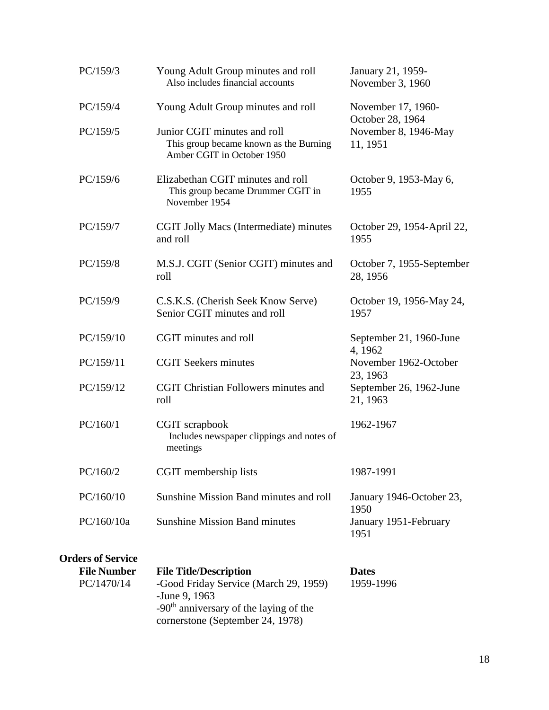| PC/159/3                                                     | Young Adult Group minutes and roll<br>Also includes financial accounts                                                                        | January 21, 1959-<br>November 3, 1960                |  |
|--------------------------------------------------------------|-----------------------------------------------------------------------------------------------------------------------------------------------|------------------------------------------------------|--|
| PC/159/4                                                     | Young Adult Group minutes and roll                                                                                                            | November 17, 1960-                                   |  |
| PC/159/5                                                     | Junior CGIT minutes and roll<br>This group became known as the Burning<br>Amber CGIT in October 1950                                          | October 28, 1964<br>November 8, 1946-May<br>11, 1951 |  |
| PC/159/6                                                     | Elizabethan CGIT minutes and roll<br>This group became Drummer CGIT in<br>November 1954                                                       | October 9, 1953-May 6,<br>1955                       |  |
| PC/159/7                                                     | CGIT Jolly Macs (Intermediate) minutes<br>and roll                                                                                            | October 29, 1954-April 22,<br>1955                   |  |
| PC/159/8                                                     | M.S.J. CGIT (Senior CGIT) minutes and<br>roll                                                                                                 | October 7, 1955-September<br>28, 1956                |  |
| PC/159/9                                                     | C.S.K.S. (Cherish Seek Know Serve)<br>Senior CGIT minutes and roll                                                                            | October 19, 1956-May 24,<br>1957                     |  |
| PC/159/10                                                    | CGIT minutes and roll                                                                                                                         | September 21, 1960-June                              |  |
| PC/159/11                                                    | <b>CGIT Seekers minutes</b>                                                                                                                   | 4, 1962<br>November 1962-October                     |  |
| PC/159/12                                                    | <b>CGIT Christian Followers minutes and</b><br>roll                                                                                           | 23, 1963<br>September 26, 1962-June<br>21, 1963      |  |
| PC/160/1                                                     | CGIT scrapbook<br>Includes newspaper clippings and notes of<br>meetings                                                                       | 1962-1967                                            |  |
| PC/160/2                                                     | CGIT membership lists                                                                                                                         | 1987-1991                                            |  |
| PC/160/10                                                    | Sunshine Mission Band minutes and roll                                                                                                        | January 1946-October 23,<br>1950                     |  |
| PC/160/10a                                                   | <b>Sunshine Mission Band minutes</b>                                                                                                          | January 1951-February<br>1951                        |  |
| <b>Orders of Service</b><br><b>File Number</b><br>PC/1470/14 | <b>File Title/Description</b><br>-Good Friday Service (March 29, 1959)<br>-June 9, 1963<br>-90 <sup>th</sup> anniversary of the laying of the | <b>Dates</b><br>1959-1996                            |  |
|                                                              | cornerstone (September 24, 1978)                                                                                                              |                                                      |  |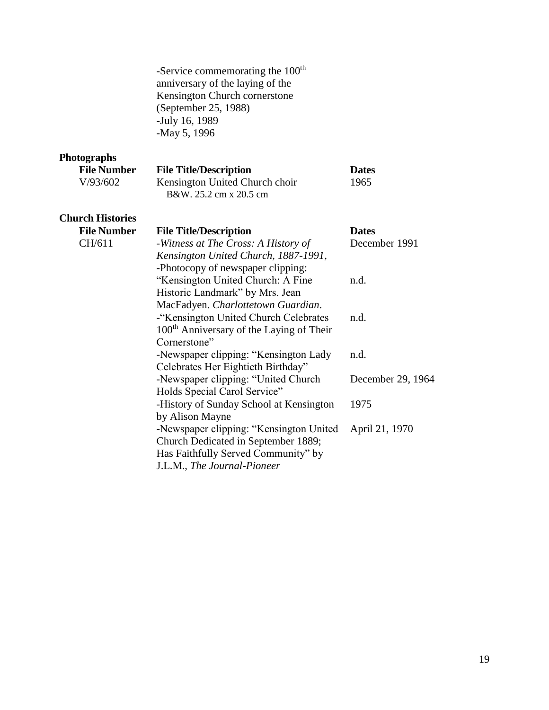-Service commemorating the 100<sup>th</sup> anniversary of the laying of the Kensington Church cornerstone (September 25, 1988) -July 16, 1989 -May 5, 1996

# **Photographs**

| <b>File Number</b> | <b>File Title/Description</b>  | <b>Dates</b> |
|--------------------|--------------------------------|--------------|
| V/93/602           | Kensington United Church choir | 1965         |
|                    | B&W, 25.2 cm x 20.5 cm         |              |
|                    |                                |              |

# **Church Histories**

| <b>File Number</b> | <b>File Title/Description</b>                        | <b>Dates</b>      |
|--------------------|------------------------------------------------------|-------------------|
| CH/611             | -Witness at The Cross: A History of                  | December 1991     |
|                    | Kensington United Church, 1887-1991,                 |                   |
|                    | -Photocopy of newspaper clipping:                    |                   |
|                    | "Kensington United Church: A Fine                    | n.d.              |
|                    | Historic Landmark" by Mrs. Jean                      |                   |
|                    | MacFadyen. Charlottetown Guardian.                   |                   |
|                    | -"Kensington United Church Celebrates                | n.d.              |
|                    | 100 <sup>th</sup> Anniversary of the Laying of Their |                   |
|                    | Cornerstone"                                         |                   |
|                    | -Newspaper clipping: "Kensington Lady                | n.d.              |
|                    | Celebrates Her Eightieth Birthday"                   |                   |
|                    | -Newspaper clipping: "United Church                  | December 29, 1964 |
|                    | Holds Special Carol Service"                         |                   |
|                    | -History of Sunday School at Kensington              | 1975              |
|                    | by Alison Mayne                                      |                   |
|                    | -Newspaper clipping: "Kensington United              | April 21, 1970    |
|                    | Church Dedicated in September 1889;                  |                   |
|                    | Has Faithfully Served Community" by                  |                   |
|                    | J.L.M., The Journal-Pioneer                          |                   |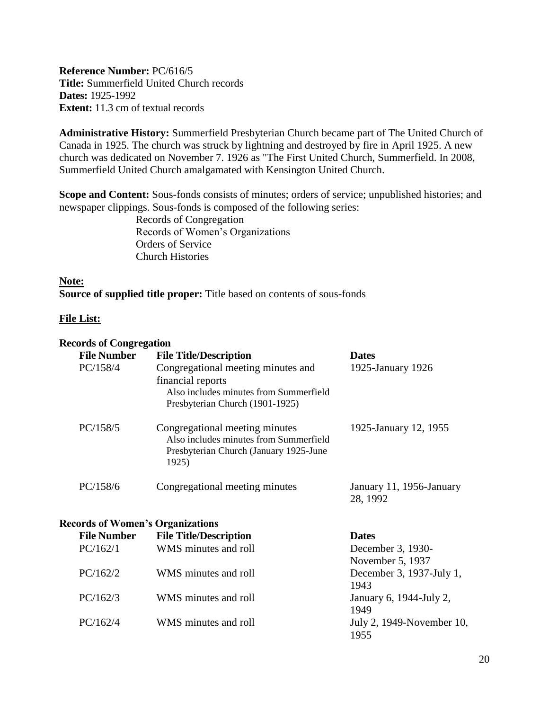<span id="page-19-0"></span>**Reference Number:** PC/616/5 **Title:** Summerfield United Church records **Dates:** 1925-1992 **Extent:** 11.3 cm of textual records

**Administrative History:** Summerfield Presbyterian Church became part of The United Church of Canada in 1925. The church was struck by lightning and destroyed by fire in April 1925. A new church was dedicated on November 7. 1926 as "The First United Church, Summerfield. In 2008, Summerfield United Church amalgamated with Kensington United Church.

**Scope and Content:** Sous-fonds consists of minutes; orders of service; unpublished histories; and newspaper clippings. Sous-fonds is composed of the following series:

> Records of Congregation Records of Women's Organizations Orders of Service Church Histories

**Note: Source of supplied title proper:** Title based on contents of sous-fonds

#### **File List:**

#### **Records of Congregation**

| <b>File Number</b>                      | <b>File Title/Description</b>                                                                                                        | <b>Dates</b>                          |
|-----------------------------------------|--------------------------------------------------------------------------------------------------------------------------------------|---------------------------------------|
| PC/158/4                                | Congregational meeting minutes and<br>financial reports<br>Also includes minutes from Summerfield<br>Presbyterian Church (1901-1925) | 1925-January 1926                     |
| PC/158/5                                | Congregational meeting minutes<br>Also includes minutes from Summerfield<br>Presbyterian Church (January 1925-June<br>1925)          | 1925-January 12, 1955                 |
| PC/158/6                                | Congregational meeting minutes                                                                                                       | January 11, 1956-January<br>28, 1992  |
| <b>Records of Women's Organizations</b> |                                                                                                                                      |                                       |
| <b>File Number</b>                      | <b>File Title/Description</b>                                                                                                        | <b>Dates</b>                          |
| PC/162/1                                | WMS minutes and roll                                                                                                                 | December 3, 1930-<br>November 5, 1937 |
| PC/162/2                                | WMS minutes and roll                                                                                                                 | December 3, 1937-July 1,<br>1943      |
| PC/162/3                                | WMS minutes and roll                                                                                                                 | January 6, 1944-July 2,<br>1949       |
| PC/162/4                                | WMS minutes and roll                                                                                                                 | July 2, 1949-November 10,<br>1955     |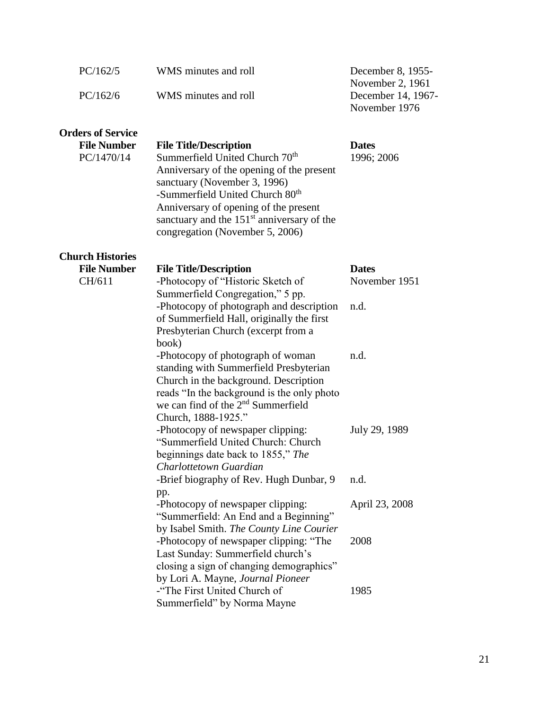| PC/162/5                         | WMS minutes and roll                                                                                                                                                                                                                                                                                                                | December 8, 1955-<br>November 2, 1961 |
|----------------------------------|-------------------------------------------------------------------------------------------------------------------------------------------------------------------------------------------------------------------------------------------------------------------------------------------------------------------------------------|---------------------------------------|
| PC/162/6                         | WMS minutes and roll                                                                                                                                                                                                                                                                                                                | December 14, 1967-<br>November 1976   |
| <b>Orders of Service</b>         |                                                                                                                                                                                                                                                                                                                                     |                                       |
| <b>File Number</b><br>PC/1470/14 | <b>File Title/Description</b><br>Summerfield United Church 70 <sup>th</sup><br>Anniversary of the opening of the present<br>sanctuary (November 3, 1996)<br>-Summerfield United Church 80 <sup>th</sup><br>Anniversary of opening of the present<br>sanctuary and the $151st$ anniversary of the<br>congregation (November 5, 2006) | <b>Dates</b><br>1996; 2006            |
| <b>Church Histories</b>          |                                                                                                                                                                                                                                                                                                                                     |                                       |
| <b>File Number</b><br>CH/611     | <b>File Title/Description</b><br>-Photocopy of "Historic Sketch of<br>Summerfield Congregation," 5 pp.                                                                                                                                                                                                                              | <b>Dates</b><br>November 1951         |
|                                  | -Photocopy of photograph and description<br>of Summerfield Hall, originally the first<br>Presbyterian Church (excerpt from a<br>book)                                                                                                                                                                                               | n.d.                                  |
|                                  | -Photocopy of photograph of woman<br>standing with Summerfield Presbyterian<br>Church in the background. Description<br>reads "In the background is the only photo<br>we can find of the $2nd$ Summerfield<br>Church, 1888-1925."                                                                                                   | n.d.                                  |
|                                  | -Photocopy of newspaper clipping:<br>"Summerfield United Church: Church<br>beginnings date back to 1855," The<br>Charlottetown Guardian                                                                                                                                                                                             | July 29, 1989                         |
|                                  | -Brief biography of Rev. Hugh Dunbar, 9<br>pp.                                                                                                                                                                                                                                                                                      | n.d.                                  |
|                                  | -Photocopy of newspaper clipping:<br>"Summerfield: An End and a Beginning"<br>by Isabel Smith. The County Line Courier                                                                                                                                                                                                              | April 23, 2008                        |
|                                  | -Photocopy of newspaper clipping: "The<br>Last Sunday: Summerfield church's<br>closing a sign of changing demographics"<br>by Lori A. Mayne, Journal Pioneer                                                                                                                                                                        | 2008                                  |
|                                  | -"The First United Church of<br>Summerfield" by Norma Mayne                                                                                                                                                                                                                                                                         | 1985                                  |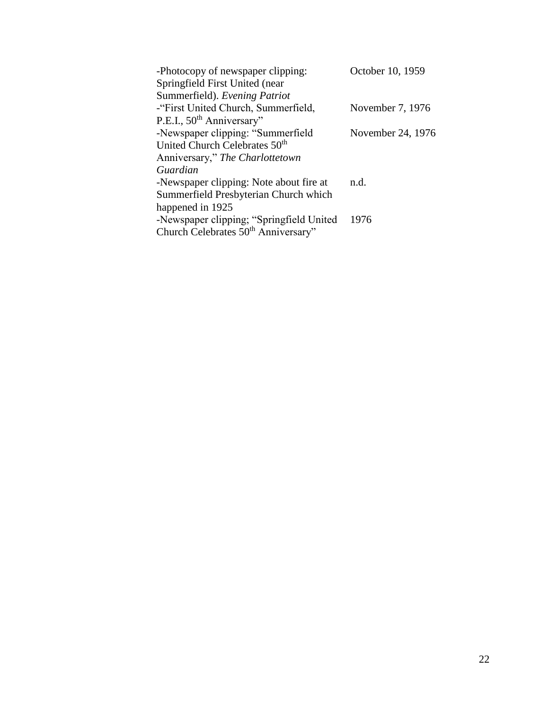| -Photocopy of newspaper clipping:               | October 10, 1959  |
|-------------------------------------------------|-------------------|
| Springfield First United (near)                 |                   |
| Summerfield). Evening Patriot                   |                   |
| -"First United Church, Summerfield,             | November 7, 1976  |
| P.E.I., 50 <sup>th</sup> Anniversary"           |                   |
| -Newspaper clipping: "Summerfield               | November 24, 1976 |
| United Church Celebrates 50 <sup>th</sup>       |                   |
| Anniversary," The Charlottetown                 |                   |
| Guardian                                        |                   |
| -Newspaper clipping: Note about fire at         | n.d.              |
| Summerfield Presbyterian Church which           |                   |
| happened in 1925                                |                   |
| -Newspaper clipping; "Springfield United        | 1976              |
| Church Celebrates 50 <sup>th</sup> Anniversary" |                   |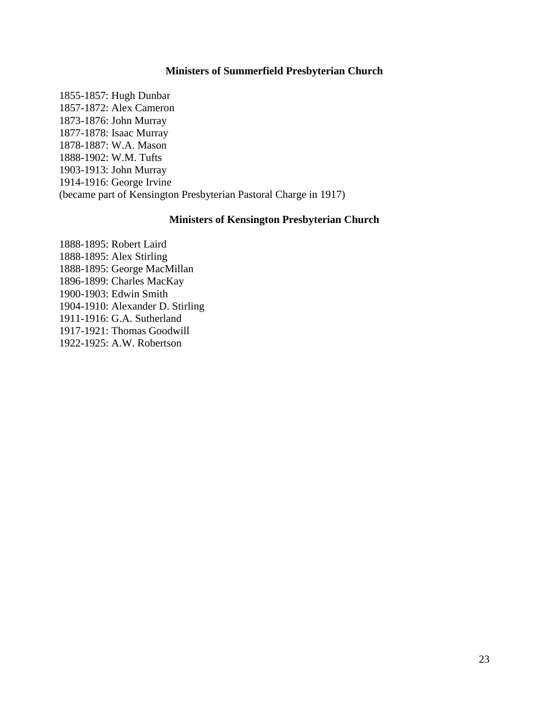#### **Ministers of Summerfield Presbyterian Church**

<span id="page-22-0"></span>1855-1857: Hugh Dunbar 1857-1872: Alex Cameron 1873-1876: John Murray 1877-1878: Isaac Murray 1878-1887: W.A. Mason 1888-1902: W.M. Tufts 1903-1913: John Murray 1914-1916: George Irvine (became part of Kensington Presbyterian Pastoral Charge in 1917)

#### **Ministers of Kensington Presbyterian Church**

<span id="page-22-1"></span>1888-1895: Robert Laird 1888-1895: Alex Stirling 1888-1895: George MacMillan 1896-1899: Charles MacKay 1900-1903: Edwin Smith 1904-1910: Alexander D. Stirling 1911-1916: G.A. Sutherland 1917-1921: Thomas Goodwill 1922-1925: A.W. Robertson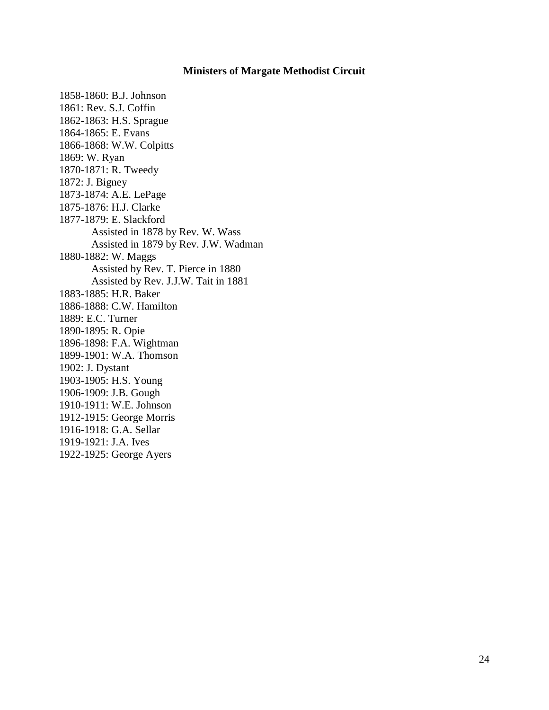#### **Ministers of Margate Methodist Circuit**

<span id="page-23-0"></span>1858-1860: B.J. Johnson 1861: Rev. S.J. Coffin 1862-1863: H.S. Sprague 1864-1865: E. Evans 1866-1868: W.W. Colpitts 1869: W. Ryan 1870-1871: R. Tweedy 1872: J. Bigney 1873-1874: A.E. LePage 1875-1876: H.J. Clarke 1877-1879: E. Slackford Assisted in 1878 by Rev. W. Wass Assisted in 1879 by Rev. J.W. Wadman 1880-1882: W. Maggs Assisted by Rev. T. Pierce in 1880 Assisted by Rev. J.J.W. Tait in 1881 1883-1885: H.R. Baker 1886-1888: C.W. Hamilton 1889: E.C. Turner 1890-1895: R. Opie 1896-1898: F.A. Wightman 1899-1901: W.A. Thomson 1902: J. Dystant 1903-1905: H.S. Young 1906-1909: J.B. Gough 1910-1911: W.E. Johnson 1912-1915: George Morris 1916-1918: G.A. Sellar 1919-1921: J.A. Ives 1922-1925: George Ayers